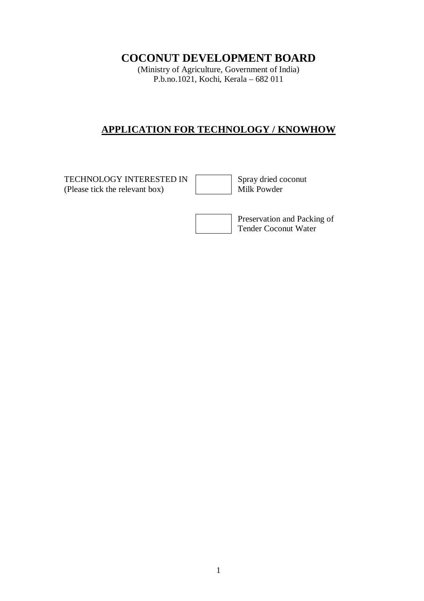# **COCONUT DEVELOPMENT BOARD**

(Ministry of Agriculture, Government of India) P.b.no.1021, Kochi, Kerala – 682 011

# **APPLICATION FOR TECHNOLOGY / KNOWHOW**

TECHNOLOGY INTERESTED IN<br>
(Please tick the relevant box) Milk Powder (Please tick the relevant box)

Preservation and Packing of Tender Coconut Water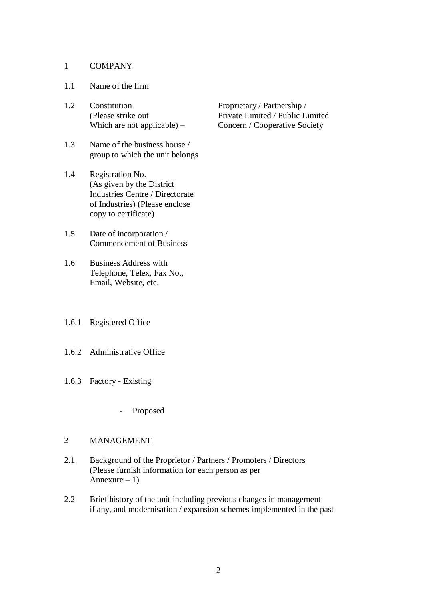#### 1 COMPANY

#### 1.1 Name of the firm

- 1.2 Constitution Proprietary / Partnership /
- 1.3 Name of the business house / group to which the unit belongs
- 1.4 Registration No. (As given by the District Industries Centre / Directorate of Industries) (Please enclose copy to certificate)
- 1.5 Date of incorporation / Commencement of Business
- 1.6 Business Address with Telephone, Telex, Fax No., Email, Website, etc.
- 1.6.1 Registered Office
- 1.6.2 Administrative Office
- 1.6.3 Factory Existing
	- Proposed

#### 2 MANAGEMENT

- 2.1 Background of the Proprietor / Partners / Promoters / Directors (Please furnish information for each person as per Annexure  $-1$ )
- 2.2 Brief history of the unit including previous changes in management if any, and modernisation / expansion schemes implemented in the past

 (Please strike out Private Limited / Public Limited Which are not applicable) – Concern / Cooperative Society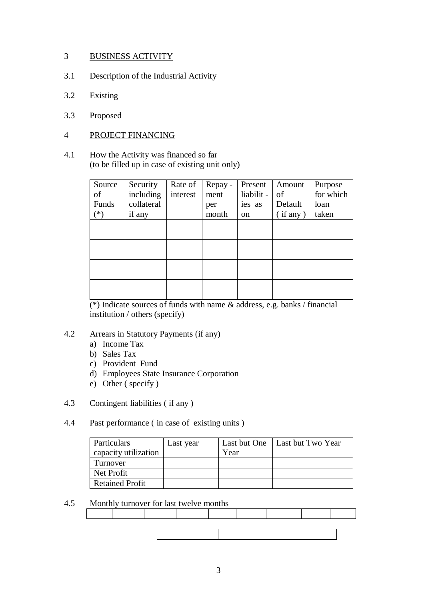## 3 BUSINESS ACTIVITY

- 3.1 Description of the Industrial Activity
- 3.2 Existing
- 3.3 Proposed

### 4 PROJECT FINANCING

4.1 How the Activity was financed so far (to be filled up in case of existing unit only)

| Source | Security   | Rate of  | Repay - | Present       | Amount         | Purpose   |
|--------|------------|----------|---------|---------------|----------------|-----------|
| of     | including  | interest | ment    | liabilit -    | of             | for which |
| Funds  | collateral |          | per     | ies as        | Default        | loan      |
| $(*)$  | if any     |          | month   | <sub>on</sub> | $(i$ f any $)$ | taken     |
|        |            |          |         |               |                |           |
|        |            |          |         |               |                |           |
|        |            |          |         |               |                |           |
|        |            |          |         |               |                |           |
|        |            |          |         |               |                |           |
|        |            |          |         |               |                |           |
|        |            |          |         |               |                |           |
|        |            |          |         |               |                |           |

(\*) Indicate sources of funds with name & address, e.g. banks / financial institution / others (specify)

## 4.2 Arrears in Statutory Payments (if any)

- a) Income Tax
- b) Sales Tax
- c) Provident Fund
- d) Employees State Insurance Corporation
- e) Other ( specify )
- 4.3 Contingent liabilities ( if any )

## 4.4 Past performance ( in case of existing units )

| Particulars<br>capacity utilization | Last year | Year | Last but One   Last but Two Year |
|-------------------------------------|-----------|------|----------------------------------|
| Turnover                            |           |      |                                  |
| Net Profit                          |           |      |                                  |
| <b>Retained Profit</b>              |           |      |                                  |

## 4.5 Monthly turnover for last twelve months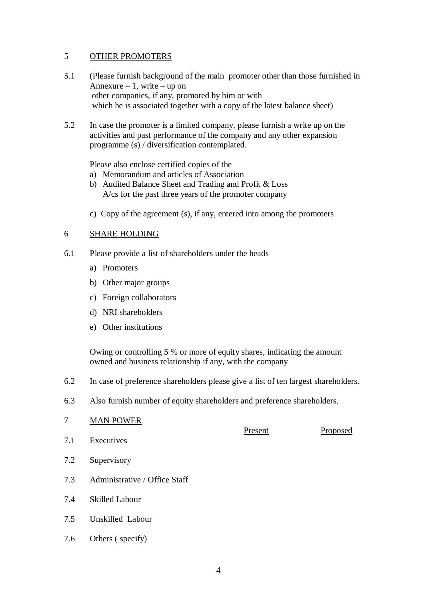### 5 OTHER PROMOTERS

- 5.1 (Please furnish background of the main promoter other than those furnished in Annexure – 1, write – up on other companies, if any, promoted by him or with which he is associated together with a copy of the latest balance sheet)
- 5.2 In case the promoter is a limited company, please furnish a write up on the activities and past performance of the company and any other expansion programme (s) / diversification contemplated.

Please also enclose certified copies of the

- a) Memorandum and articles of Association
- b) Audited Balance Sheet and Trading and Profit & Loss A/cs for the past three years of the promoter company
- c) Copy of the agreement (s), if any, entered into among the promoters

### 6 SHARE HOLDING

- 6.1 Please provide a list of shareholders under the heads
	- a) Promoters
	- b) Other major groups
	- c) Foreign collaborators
	- d) NRI shareholders
	- e) Other institutions

Owing or controlling 5 % or more of equity shares, indicating the amount owned and business relationship if any, with the company

- 6.2 In case of preference shareholders please give a list of ten largest shareholders.
- 6.3 Also furnish number of equity shareholders and preference shareholders.

## 7 MAN POWER

- 7.1 Executives
- 7.2 Supervisory
- 7.3 Administrative / Office Staff
- 7.4 Skilled Labour
- 7.5 Unskilled Labour
- 7.6 Others ( specify)

Present Proposed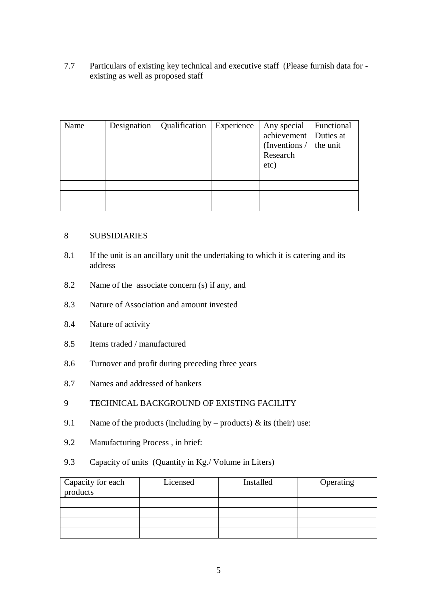7.7 Particulars of existing key technical and executive staff (Please furnish data for existing as well as proposed staff

| Name | Designation | Qualification | Experience | Any special             | Functional |
|------|-------------|---------------|------------|-------------------------|------------|
|      |             |               |            | achievement   Duties at |            |
|      |             |               |            | (Inventions /           | the unit   |
|      |             |               |            | Research                |            |
|      |             |               |            | etc)                    |            |
|      |             |               |            |                         |            |
|      |             |               |            |                         |            |
|      |             |               |            |                         |            |
|      |             |               |            |                         |            |

#### 8 SUBSIDIARIES

- 8.1 If the unit is an ancillary unit the undertaking to which it is catering and its address
- 8.2 Name of the associate concern (s) if any, and
- 8.3 Nature of Association and amount invested
- 8.4 Nature of activity
- 8.5 Items traded / manufactured
- 8.6 Turnover and profit during preceding three years
- 8.7 Names and addressed of bankers

## 9 TECHNICAL BACKGROUND OF EXISTING FACILITY

- 9.1 Name of the products (including by products)  $\&$  its (their) use:
- 9.2 Manufacturing Process , in brief:
- 9.3 Capacity of units (Quantity in Kg./ Volume in Liters)

| Capacity for each<br>products | Licensed | Installed | Operating |
|-------------------------------|----------|-----------|-----------|
|                               |          |           |           |
|                               |          |           |           |
|                               |          |           |           |
|                               |          |           |           |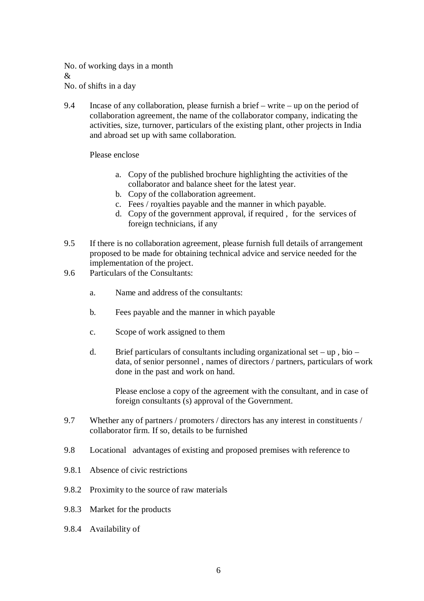No. of working days in a month  $\mathcal{R}$ No. of shifts in a day

9.4 Incase of any collaboration, please furnish a brief – write – up on the period of collaboration agreement, the name of the collaborator company, indicating the activities, size, turnover, particulars of the existing plant, other projects in India and abroad set up with same collaboration.

#### Please enclose

- a. Copy of the published brochure highlighting the activities of the collaborator and balance sheet for the latest year.
- b. Copy of the collaboration agreement.
- c. Fees / royalties payable and the manner in which payable.
- d. Copy of the government approval, if required , for the services of foreign technicians, if any
- 9.5 If there is no collaboration agreement, please furnish full details of arrangement proposed to be made for obtaining technical advice and service needed for the implementation of the project.
- 9.6 Particulars of the Consultants:
	- a. Name and address of the consultants:
	- b. Fees payable and the manner in which payable
	- c. Scope of work assigned to them
	- d. Brief particulars of consultants including organizational set up, bio data, of senior personnel , names of directors / partners, particulars of work done in the past and work on hand.

Please enclose a copy of the agreement with the consultant, and in case of foreign consultants (s) approval of the Government.

- 9.7 Whether any of partners / promoters / directors has any interest in constituents / collaborator firm. If so, details to be furnished
- 9.8 Locational advantages of existing and proposed premises with reference to
- 9.8.1 Absence of civic restrictions
- 9.8.2 Proximity to the source of raw materials
- 9.8.3 Market for the products
- 9.8.4 Availability of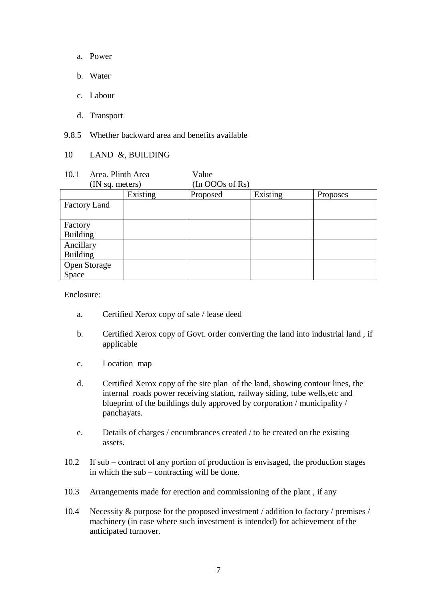- a. Power
- b. Water
- c. Labour
- d. Transport

9.8.5 Whether backward area and benefits available

#### 10 LAND &, BUILDING

10.1 Area. Plinth Area Value (IN sq. meters) (In OOOs of Rs)

|                     | Existing | Proposed | Existing | Proposes |
|---------------------|----------|----------|----------|----------|
| Factory Land        |          |          |          |          |
|                     |          |          |          |          |
| Factory             |          |          |          |          |
| <b>Building</b>     |          |          |          |          |
| Ancillary           |          |          |          |          |
| <b>Building</b>     |          |          |          |          |
| <b>Open Storage</b> |          |          |          |          |
| Space               |          |          |          |          |

Enclosure:

- a. Certified Xerox copy of sale / lease deed
- b. Certified Xerox copy of Govt. order converting the land into industrial land , if applicable
- c. Location map
- d. Certified Xerox copy of the site plan of the land, showing contour lines, the internal roads power receiving station, railway siding, tube wells,etc and blueprint of the buildings duly approved by corporation / municipality / panchayats.
- e. Details of charges / encumbrances created / to be created on the existing assets.
- 10.2 If sub contract of any portion of production is envisaged, the production stages in which the sub – contracting will be done.
- 10.3 Arrangements made for erection and commissioning of the plant , if any
- 10.4 Necessity & purpose for the proposed investment / addition to factory / premises / machinery (in case where such investment is intended) for achievement of the anticipated turnover.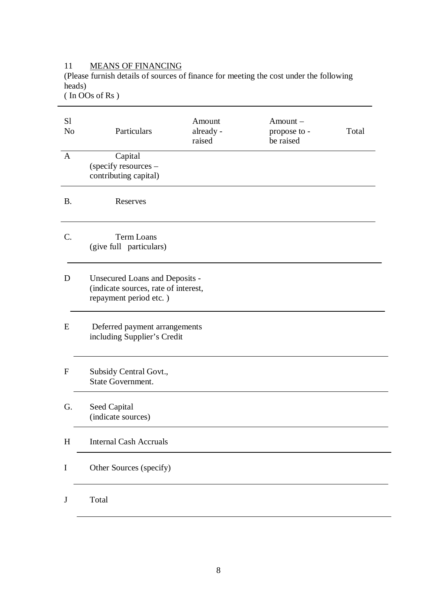#### 11 MEANS OF FINANCING

(Please furnish details of sources of finance for meeting the cost under the following heads)

( In OOs of Rs )

| S <sub>1</sub><br>N <sub>o</sub> | Particulars                                                                                      | Amount<br>already -<br>raised | Amount-<br>propose to -<br>be raised | Total |
|----------------------------------|--------------------------------------------------------------------------------------------------|-------------------------------|--------------------------------------|-------|
| $\mathbf{A}$                     | Capital<br>(specify resources -<br>contributing capital)                                         |                               |                                      |       |
| <b>B.</b>                        | Reserves                                                                                         |                               |                                      |       |
| C.                               | <b>Term Loans</b><br>(give full particulars)                                                     |                               |                                      |       |
| D                                | Unsecured Loans and Deposits -<br>(indicate sources, rate of interest,<br>repayment period etc.) |                               |                                      |       |
| E                                | Deferred payment arrangements<br>including Supplier's Credit                                     |                               |                                      |       |
| $\mathbf F$                      | Subsidy Central Govt.,<br><b>State Government.</b>                                               |                               |                                      |       |
| G.                               | Seed Capital<br>(indicate sources)                                                               |                               |                                      |       |
| H                                | <b>Internal Cash Accruals</b>                                                                    |                               |                                      |       |
| $\mathbf I$                      | Other Sources (specify)                                                                          |                               |                                      |       |
| J                                | Total                                                                                            |                               |                                      |       |